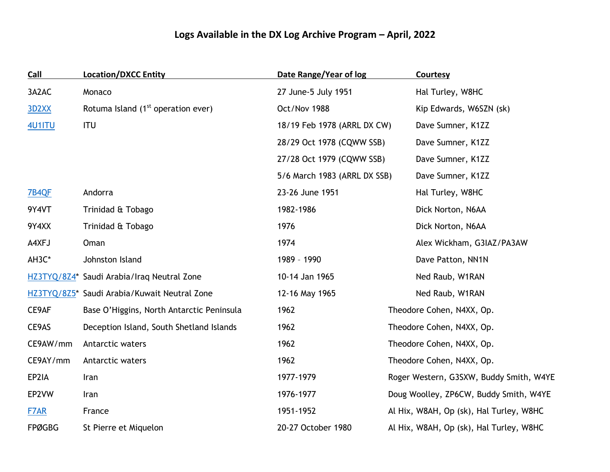## **Logs Available in the DX Log Archive Program – April, 2022**

| <b>Call</b>   | <b>Location/DXCC Entity</b>                    | Date Range/Year of log       | <b>Courtesy</b>                         |  |
|---------------|------------------------------------------------|------------------------------|-----------------------------------------|--|
| 3A2AC         | Monaco                                         | 27 June-5 July 1951          | Hal Turley, W8HC                        |  |
| <b>3D2XX</b>  | Rotuma Island (1 <sup>st</sup> operation ever) | Oct/Nov 1988                 | Kip Edwards, W6SZN (sk)                 |  |
| <b>4U1ITU</b> | <b>ITU</b>                                     | 18/19 Feb 1978 (ARRL DX CW)  | Dave Sumner, K1ZZ                       |  |
|               |                                                | 28/29 Oct 1978 (CQWW SSB)    | Dave Sumner, K1ZZ                       |  |
|               |                                                | 27/28 Oct 1979 (CQWW SSB)    | Dave Sumner, K1ZZ                       |  |
|               |                                                | 5/6 March 1983 (ARRL DX SSB) | Dave Sumner, K1ZZ                       |  |
| 7B4QF         | Andorra                                        | 23-26 June 1951              | Hal Turley, W8HC                        |  |
| 9Y4VT         | Trinidad & Tobago                              | 1982-1986                    | Dick Norton, N6AA                       |  |
| 9Y4XX         | Trinidad & Tobago                              | 1976                         | Dick Norton, N6AA                       |  |
| A4XFJ         | Oman                                           | 1974                         | Alex Wickham, G3IAZ/PA3AW               |  |
| AH3C*         | Johnston Island                                | 1989 - 1990                  | Dave Patton, NN1N                       |  |
|               | HZ3TYQ/8Z4* Saudi Arabia/Iraq Neutral Zone     | 10-14 Jan 1965               | Ned Raub, W1RAN                         |  |
|               | HZ3TYQ/8Z5* Saudi Arabia/Kuwait Neutral Zone   | 12-16 May 1965               | Ned Raub, W1RAN                         |  |
| CE9AF         | Base O'Higgins, North Antarctic Peninsula      | 1962                         | Theodore Cohen, N4XX, Op.               |  |
| CE9AS         | Deception Island, South Shetland Islands       | 1962                         | Theodore Cohen, N4XX, Op.               |  |
| CE9AW/mm      | Antarctic waters                               | 1962                         | Theodore Cohen, N4XX, Op.               |  |
| CE9AY/mm      | Antarctic waters                               | 1962                         | Theodore Cohen, N4XX, Op.               |  |
| EP2IA         | Iran                                           | 1977-1979                    | Roger Western, G3SXW, Buddy Smith, W4YE |  |
| EP2VW         | Iran                                           | 1976-1977                    | Doug Woolley, ZP6CW, Buddy Smith, W4YE  |  |
| F7AR          | France                                         | 1951-1952                    | Al Hix, W8AH, Op (sk), Hal Turley, W8HC |  |
| <b>FPØGBG</b> | St Pierre et Miquelon                          | 20-27 October 1980           | Al Hix, W8AH, Op (sk), Hal Turley, W8HC |  |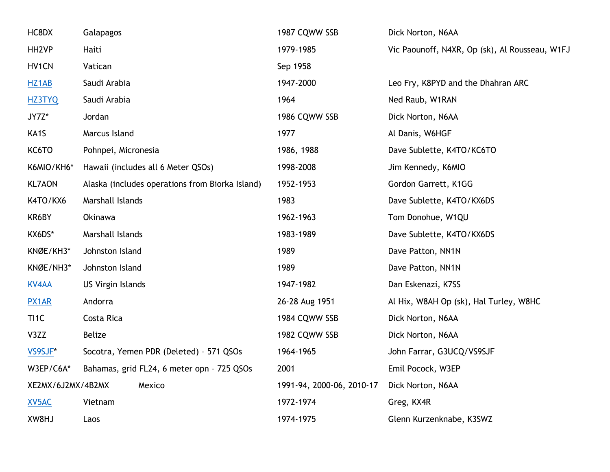| HC8DX             | Galapagos                                       | 1987 CQWW SSB             | Dick Norton, N6AA                              |
|-------------------|-------------------------------------------------|---------------------------|------------------------------------------------|
| HH <sub>2VP</sub> | Haiti                                           | 1979-1985                 | Vic Paounoff, N4XR, Op (sk), Al Rousseau, W1FJ |
| HV1CN             | Vatican                                         | Sep 1958                  |                                                |
| HZ1AB             | Saudi Arabia                                    | 1947-2000                 | Leo Fry, K8PYD and the Dhahran ARC             |
| <b>HZ3TYQ</b>     | Saudi Arabia                                    | 1964                      | Ned Raub, W1RAN                                |
| JY7Z*             | Jordan                                          | 1986 CQWW SSB             | Dick Norton, N6AA                              |
| KA1S              | Marcus Island                                   | 1977                      | Al Danis, W6HGF                                |
| KC6TO             | Pohnpei, Micronesia                             | 1986, 1988                | Dave Sublette, K4TO/KC6TO                      |
| K6MIO/KH6*        | Hawaii (includes all 6 Meter QSOs)              | 1998-2008                 | Jim Kennedy, K6MIO                             |
| <b>KL7AON</b>     | Alaska (includes operations from Biorka Island) | 1952-1953                 | Gordon Garrett, K1GG                           |
| K4TO/KX6          | Marshall Islands                                | 1983                      | Dave Sublette, K4TO/KX6DS                      |
| KR6BY             | Okinawa                                         | 1962-1963                 | Tom Donohue, W1QU                              |
| KX6DS*            | Marshall Islands                                | 1983-1989                 | Dave Sublette, K4TO/KX6DS                      |
| KNØE/KH3*         | Johnston Island                                 | 1989                      | Dave Patton, NN1N                              |
| KNØE/NH3*         | Johnston Island                                 | 1989                      | Dave Patton, NN1N                              |
| <b>KV4AA</b>      | US Virgin Islands                               | 1947-1982                 | Dan Eskenazi, K7SS                             |
| <b>PX1AR</b>      | Andorra                                         | 26-28 Aug 1951            | Al Hix, W8AH Op (sk), Hal Turley, W8HC         |
| TI1C              | Costa Rica                                      | 1984 CQWW SSB             | Dick Norton, N6AA                              |
| V3ZZ              | <b>Belize</b>                                   | 1982 CQWW SSB             | Dick Norton, N6AA                              |
| VS9SJF*           | Socotra, Yemen PDR (Deleted) - 571 QSOs         | 1964-1965                 | John Farrar, G3UCQ/VS9SJF                      |
| W3EP/C6A*         | Bahamas, grid FL24, 6 meter opn - 725 QSOs      | 2001                      | Emil Pocock, W3EP                              |
| XE2MX/6J2MX/4B2MX | Mexico                                          | 1991-94, 2000-06, 2010-17 | Dick Norton, N6AA                              |
| XV5AC             | Vietnam                                         | 1972-1974                 | Greg, KX4R                                     |
| XW8HJ             | Laos                                            | 1974-1975                 | Glenn Kurzenknabe, K3SWZ                       |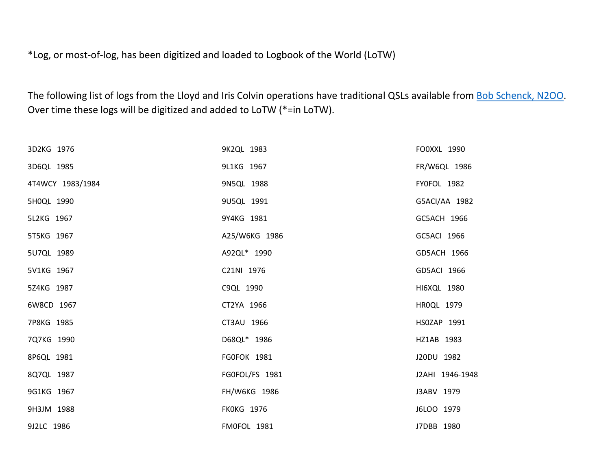\*Log, or most-of-log, has been digitized and loaded to Logbook of the World (LoTW)

The following list of logs from the Lloyd and Iris Colvin operations have traditional QSLs available from **Bob Schenck, N2OO**. Over time these logs will be digitized and added to LoTW (\*=in LoTW).

| 3D2KG 1976       | 9K2QL 1983         | FO0XXL 1990     |
|------------------|--------------------|-----------------|
| 3D6QL 1985       | 9L1KG 1967         | FR/W6QL 1986    |
| 4T4WCY 1983/1984 | 9N5QL 1988         | FY0FOL 1982     |
| 5H0QL 1990       | 9U5QL 1991         | G5ACI/AA 1982   |
| 5L2KG 1967       | 9Y4KG 1981         | GC5ACH 1966     |
| 5T5KG 1967       | A25/W6KG 1986      | GC5ACI 1966     |
| 5U7QL 1989       | A92QL* 1990        | GD5ACH 1966     |
| 5V1KG 1967       | C21NI 1976         | GD5ACI 1966     |
| 5Z4KG 1987       | C9QL 1990          | HI6XQL 1980     |
| 6W8CD 1967       | CT2YA 1966         | HR0QL 1979      |
| 7P8KG 1985       | CT3AU 1966         | HS0ZAP 1991     |
| 7Q7KG 1990       | D68QL* 1986        | HZ1AB 1983      |
| 8P6QL 1981       | FG0FOK 1981        | J20DU 1982      |
| 8Q7QL 1987       | FG0FOL/FS 1981     | J2AHI 1946-1948 |
| 9G1KG 1967       | FH/W6KG 1986       | J3ABV 1979      |
| 9H3JM 1988       | <b>FKOKG 1976</b>  | J6LOO 1979      |
| 9J2LC 1986       | <b>FM0FOL 1981</b> | J7DBB 1980      |